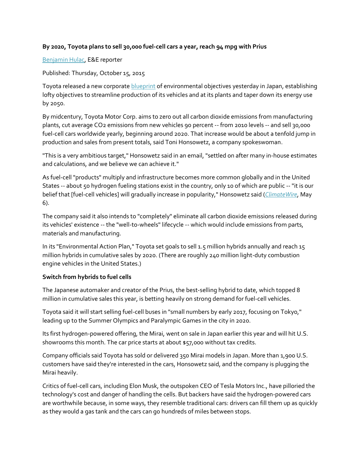## **By 2020, Toyota plans to sell 30,000 fuel-cell cars a year, reach 94 mpg with Prius**

## [Benjamin Hulac,](http://www.eenews.net/staff/Benjamin_Hulac) E&E reporter

Published: Thursday, October 15, 2015

Toyota released a new corporat[e blueprint](http://www.eenews.net/assets/2015/10/15/document_daily_01.pdf) of environmental objectives yesterday in Japan, establishing lofty objectives to streamline production of its vehicles and at its plants and taper down its energy use by 2050.

By midcentury, Toyota Motor Corp. aims to zero out all carbon dioxide emissions from manufacturing plants, cut average CO2 emissions from new vehicles 90 percent -- from 2010 levels -- and sell 30,000 fuel-cell cars worldwide yearly, beginning around 2020. That increase would be about a tenfold jump in production and sales from present totals, said Toni Honsowetz, a company spokeswoman.

"This is a very ambitious target," Honsowetz said in an email, "settled on after many in-house estimates and calculations, and we believe we can achieve it."

As fuel-cell "products" multiply and infrastructure becomes more common globally and in the United States -- about 50 hydrogen fueling stations exist in the country, only 10 of which are public -- "it is our belief that [fuel-cell vehicles] will gradually increase in popularity," Honsowetz said (*[ClimateWire](http://www.eenews.net/climatewire/stories/1060018060/)*, May 6).

The company said it also intends to "completely" eliminate all carbon dioxide emissions released during its vehicles' existence -- the "well-to-wheels" lifecycle -- which would include emissions from parts, materials and manufacturing.

In its "Environmental Action Plan," Toyota set goals to sell 1.5 million hybrids annually and reach 15 million hybrids in cumulative sales by 2020. (There are roughly 240 million light-duty combustion engine vehicles in the United States.)

## **Switch from hybrids to fuel cells**

The Japanese automaker and creator of the Prius, the best-selling hybrid to date, which topped 8 million in cumulative sales this year, is betting heavily on strong demand for fuel-cell vehicles.

Toyota said it will start selling fuel-cell buses in "small numbers by early 2017, focusing on Tokyo," leading up to the Summer Olympics and Paralympic Games in the city in 2020.

Its first hydrogen-powered offering, the Mirai, went on sale in Japan earlier this year and will hit U.S. showrooms this month. The car price starts at about \$57,000 without tax credits.

Company officials said Toyota has sold or delivered 350 Mirai models in Japan. More than 1,900 U.S. customers have said they're interested in the cars, Honsowetz said, and the company is plugging the Mirai heavily.

Critics of fuel-cell cars, including Elon Musk, the outspoken CEO of Tesla Motors Inc., have pilloried the technology's cost and danger of handling the cells. But backers have said the hydrogen-powered cars are worthwhile because, in some ways, they resemble traditional cars: drivers can fill them up as quickly as they would a gas tank and the cars can go hundreds of miles between stops.